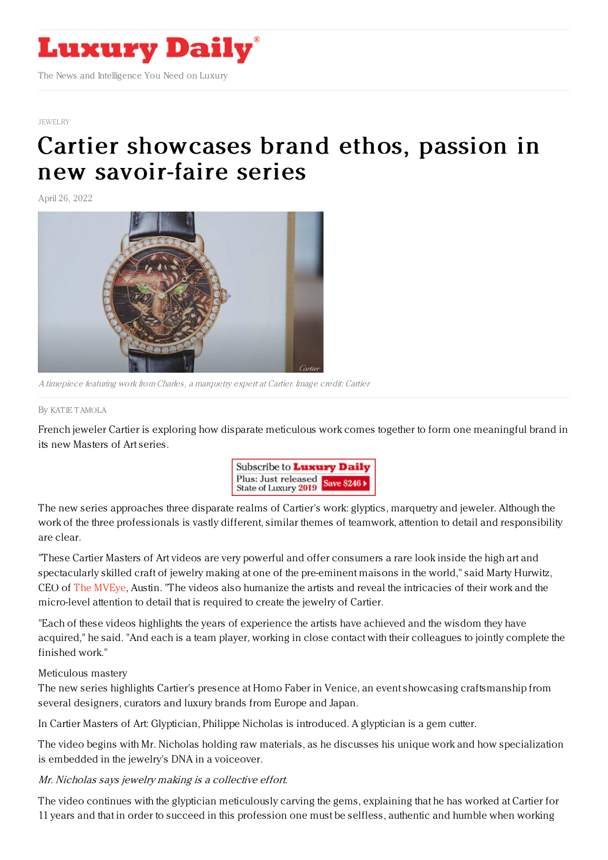

## [JEWELRY](https://www.luxurydaily.com/category/sectors/jewelry/)

## Cartier showcases brand ethos, passion in new [savoir-faire](https://www.luxurydaily.com/cartier-masters-of-art-campaign/) series

April 26, 2022



A timepiece featuring work from Charles, <sup>a</sup> marquetry expert at Cartier. Image credit: Cartier

By KAT IE [TAMOLA](file:///author/katie-tamola)

French jeweler Cartier is exploring how disparate meticulous work comes together to form one meaningful brand in its new Masters of Art series.



The new series approaches three disparate realms of Cartier's work: glyptics, marquetry and jeweler. Although the work of the three professionals is vastly different, similar themes of teamwork, attention to detail and responsibility are clear.

"These Cartier Masters of Art videos are very powerful and offer consumers a rare look inside the high art and spectacularly skilled craft of jewelry making at one of the pre-eminent maisons in the world," said Marty Hurwitz, CEO of The [MVEye](https://www.themveye.com/), Austin. "The videos also humanize the artists and reveal the intricacies of their work and the micro-level attention to detail that is required to create the jewelry of Cartier.

"Each of these videos highlights the years of experience the artists have achieved and the wisdom they have acquired," he said. "And each is a team player, working in close contact with their colleagues to jointly complete the finished work."

Meticulous mastery

The new series highlights Cartier's presence at Homo Faber in Venice, an event showcasing craftsmanship from several designers, curators and luxury brands from Europe and Japan.

In Cartier Masters of Art: Glyptician, Philippe Nicholas is introduced. A glyptician is a gem cutter.

The video begins with Mr. Nicholas holding raw materials, as he discusses his unique work and how specialization is embedded in the jewelry's DNA in a voiceover.

Mr. Nicholas says jewelry making is <sup>a</sup> collective effort.

The video continues with the glyptician meticulously carving the gems, explaining that he has worked at Cartier for 11 years and that in order to succeed in this profession one must be selfless, authentic and humble when working